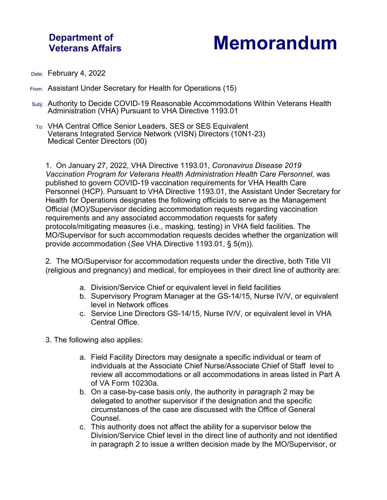## **Department of**

## **Veterans Affairs Memorandum**

- Date: February 4, 2022
- From: Assistant Under Secretary for Health for Operations (15)
- Subj: Authority to Decide COVID-19 Reasonable Accommodations Within Veterans Health Administration (VHA) Pursuant to VHA Directive 1193.01
- To: VHA Central Office Senior Leaders, SES or SES Equivalent Veterans Integrated Service Network (VISN) Directors (10N1-23) Medical Center Directors (00)

1. On January 27, 2022, VHA Directive 1193.01, *Coronavirus Disease 2019 Vaccination Program for Veterans Health Administration Health Care Personnel*, was published to govern COVID-19 vaccination requirements for VHA Health Care Personnel (HCP). Pursuant to VHA Directive 1193.01, the Assistant Under Secretary for Health for Operations designates the following officials to serve as the Management Official (MO)/Supervisor deciding accommodation requests regarding vaccination requirements and any associated accommodation requests for safety protocols/mitigating measures (i.e., masking, testing) in VHA field facilities. The MO/Supervisor for such accommodation requests decides whether the organization will provide accommodation (*See* VHA Directive 1193.01, § 5(m)).

2. The MO/Supervisor for accommodation requests under the directive, both Title VII (religious and pregnancy) and medical, for employees in their direct line of authority are:

- a. Division/Service Chief or equivalent level in field facilities
- b. Supervisory Program Manager at the GS-14/15, Nurse IV/V, or equivalent level in Network offices
- c. Service Line Directors GS-14/15, Nurse IV/V, or equivalent level in VHA Central Office.

3. The following also applies:

- a. Field Facility Directors may designate a specific individual or team of individuals at the Associate Chief Nurse/Associate Chief of Staff level to review all accommodations or all accommodations in areas listed in Part A of VA Form 10230a.
- b. On a case-by-case basis only, the authority in paragraph 2 may be delegated to another supervisor if the designation and the specific circumstances of the case are discussed with the Office of General Counsel.
- c. This authority does not affect the ability for a supervisor below the Division/Service Chief level in the direct line of authority and not identified in paragraph 2 to issue a written decision made by the MO/Supervisor, or